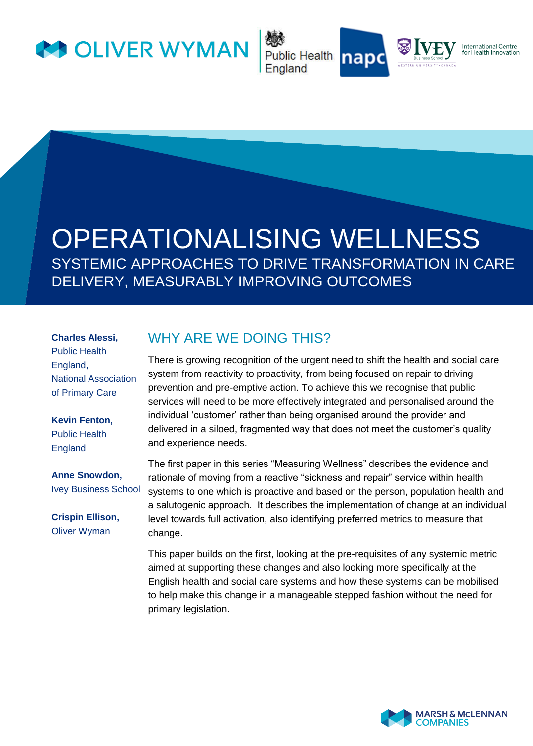



# OPERATIONALISING WELLNESS SYSTEMIC APPROACHES TO DRIVE TRANSFORMATION IN CARE DELIVERY, MEASURABLY IMPROVING OUTCOMES

#### **Charles Alessi,**

Public Health England, National Association of Primary Care

#### **Kevin Fenton,**

Public Health England

**Anne Snowdon,** Ivey Business School

**Crispin Ellison,**  Oliver Wyman

# WHY ARE WE DOING THIS?

There is growing recognition of the urgent need to shift the health and social care system from reactivity to proactivity, from being focused on repair to driving prevention and pre-emptive action. To achieve this we recognise that public services will need to be more effectively integrated and personalised around the individual 'customer' rather than being organised around the provider and delivered in a siloed, fragmented way that does not meet the customer's quality and experience needs.

The first paper in this series "Measuring Wellness" describes the evidence and rationale of moving from a reactive "sickness and repair" service within health systems to one which is proactive and based on the person, population health and a salutogenic approach. It describes the implementation of change at an individual level towards full activation, also identifying preferred metrics to measure that change.

This paper builds on the first, looking at the pre-requisites of any systemic metric aimed at supporting these changes and also looking more specifically at the English health and social care systems and how these systems can be mobilised to help make this change in a manageable stepped fashion without the need for primary legislation.

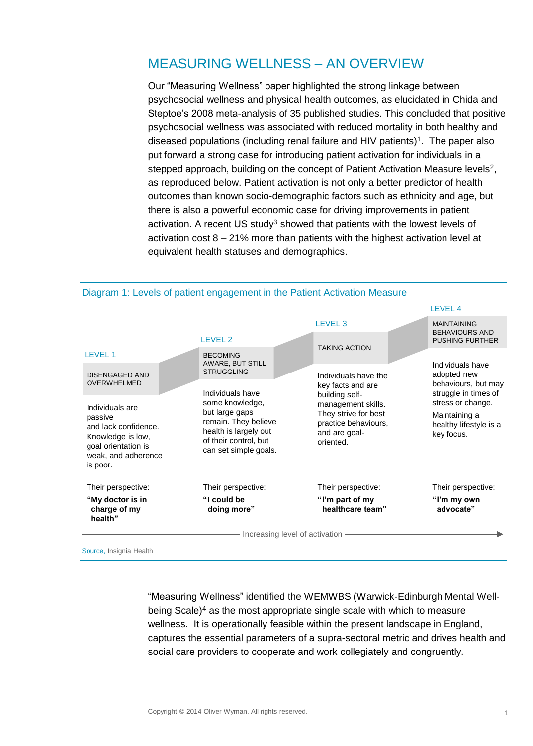# MEASURING WELLNESS – AN OVERVIEW

Our "Measuring Wellness" paper highlighted the strong linkage between psychosocial wellness and physical health outcomes, as elucidated in Chida and Steptoe's 2008 meta-analysis of 35 published studies. This concluded that positive psychosocial wellness was associated with reduced mortality in both healthy and diseased populations (including renal failure and HIV patients)<sup>1</sup> . The paper also put forward a strong case for introducing patient activation for individuals in a stepped approach, building on the concept of Patient Activation Measure levels<sup>2</sup>, as reproduced below. Patient activation is not only a better predictor of health outcomes than known socio-demographic factors such as ethnicity and age, but there is also a powerful economic case for driving improvements in patient activation. A recent US study $3$  showed that patients with the lowest levels of activation cost 8 – 21% more than patients with the highest activation level at equivalent health statuses and demographics.



#### Diagram 1: Levels of patient engagement in the Patient Activation Measure

Source, Insignia Health

"Measuring Wellness" identified the WEMWBS (Warwick-Edinburgh Mental Wellbeing Scale)<sup>4</sup> as the most appropriate single scale with which to measure wellness. It is operationally feasible within the present landscape in England, captures the essential parameters of a supra-sectoral metric and drives health and social care providers to cooperate and work collegiately and congruently.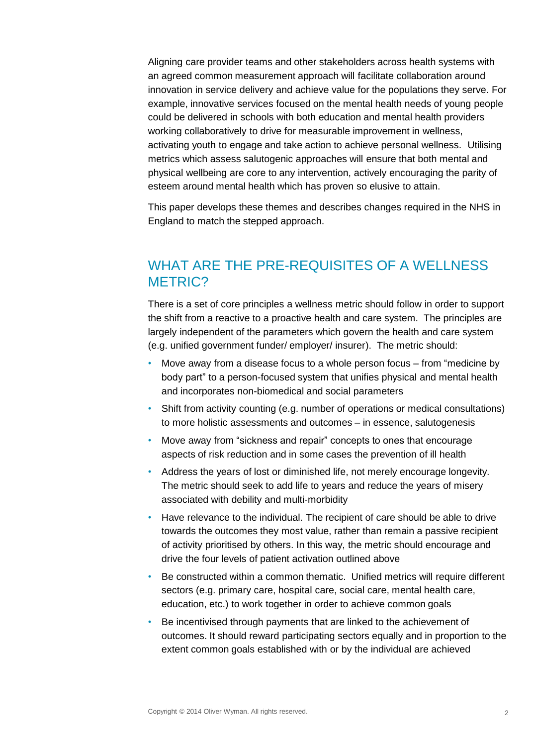Aligning care provider teams and other stakeholders across health systems with an agreed common measurement approach will facilitate collaboration around innovation in service delivery and achieve value for the populations they serve. For example, innovative services focused on the mental health needs of young people could be delivered in schools with both education and mental health providers working collaboratively to drive for measurable improvement in wellness, activating youth to engage and take action to achieve personal wellness. Utilising metrics which assess salutogenic approaches will ensure that both mental and physical wellbeing are core to any intervention, actively encouraging the parity of esteem around mental health which has proven so elusive to attain.

This paper develops these themes and describes changes required in the NHS in England to match the stepped approach.

# WHAT ARE THE PRE-REQUISITES OF A WELLNESS METRIC?

There is a set of core principles a wellness metric should follow in order to support the shift from a reactive to a proactive health and care system. The principles are largely independent of the parameters which govern the health and care system (e.g. unified government funder/ employer/ insurer). The metric should:

- Move away from a disease focus to a whole person focus from "medicine by body part" to a person-focused system that unifies physical and mental health and incorporates non-biomedical and social parameters
- Shift from activity counting (e.g. number of operations or medical consultations) to more holistic assessments and outcomes – in essence, salutogenesis
- Move away from "sickness and repair" concepts to ones that encourage aspects of risk reduction and in some cases the prevention of ill health
- Address the years of lost or diminished life, not merely encourage longevity. The metric should seek to add life to years and reduce the years of misery associated with debility and multi-morbidity
- Have relevance to the individual. The recipient of care should be able to drive towards the outcomes they most value, rather than remain a passive recipient of activity prioritised by others. In this way, the metric should encourage and drive the four levels of patient activation outlined above
- Be constructed within a common thematic. Unified metrics will require different sectors (e.g. primary care, hospital care, social care, mental health care, education, etc.) to work together in order to achieve common goals
- Be incentivised through payments that are linked to the achievement of outcomes. It should reward participating sectors equally and in proportion to the extent common goals established with or by the individual are achieved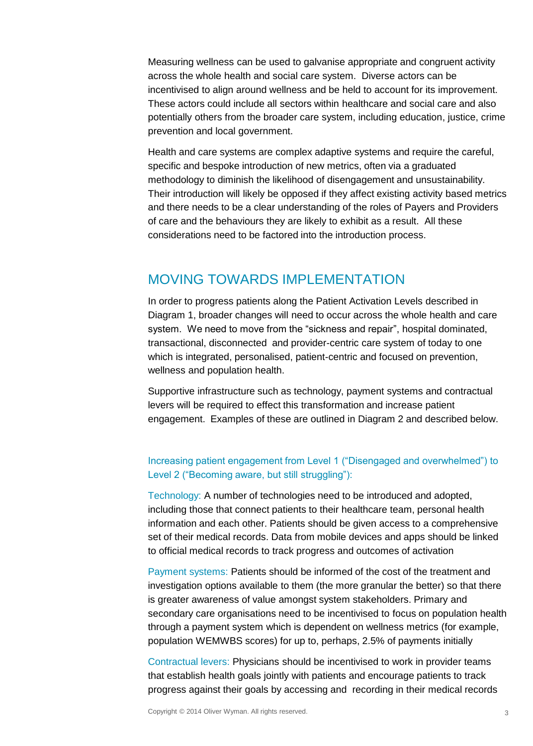Measuring wellness can be used to galvanise appropriate and congruent activity across the whole health and social care system. Diverse actors can be incentivised to align around wellness and be held to account for its improvement. These actors could include all sectors within healthcare and social care and also potentially others from the broader care system, including education, justice, crime prevention and local government.

Health and care systems are complex adaptive systems and require the careful, specific and bespoke introduction of new metrics, often via a graduated methodology to diminish the likelihood of disengagement and unsustainability. Their introduction will likely be opposed if they affect existing activity based metrics and there needs to be a clear understanding of the roles of Payers and Providers of care and the behaviours they are likely to exhibit as a result. All these considerations need to be factored into the introduction process.

## MOVING TOWARDS IMPLEMENTATION

In order to progress patients along the Patient Activation Levels described in Diagram 1, broader changes will need to occur across the whole health and care system. We need to move from the "sickness and repair", hospital dominated, transactional, disconnected and provider-centric care system of today to one which is integrated, personalised, patient-centric and focused on prevention, wellness and population health.

Supportive infrastructure such as technology, payment systems and contractual levers will be required to effect this transformation and increase patient engagement. Examples of these are outlined in Diagram 2 and described below.

## Increasing patient engagement from Level 1 ("Disengaged and overwhelmed") to Level 2 ("Becoming aware, but still struggling"):

Technology: A number of technologies need to be introduced and adopted, including those that connect patients to their healthcare team, personal health information and each other. Patients should be given access to a comprehensive set of their medical records. Data from mobile devices and apps should be linked to official medical records to track progress and outcomes of activation

Payment systems: Patients should be informed of the cost of the treatment and investigation options available to them (the more granular the better) so that there is greater awareness of value amongst system stakeholders. Primary and secondary care organisations need to be incentivised to focus on population health through a payment system which is dependent on wellness metrics (for example, population WEMWBS scores) for up to, perhaps, 2.5% of payments initially

Contractual levers: Physicians should be incentivised to work in provider teams that establish health goals jointly with patients and encourage patients to track progress against their goals by accessing and recording in their medical records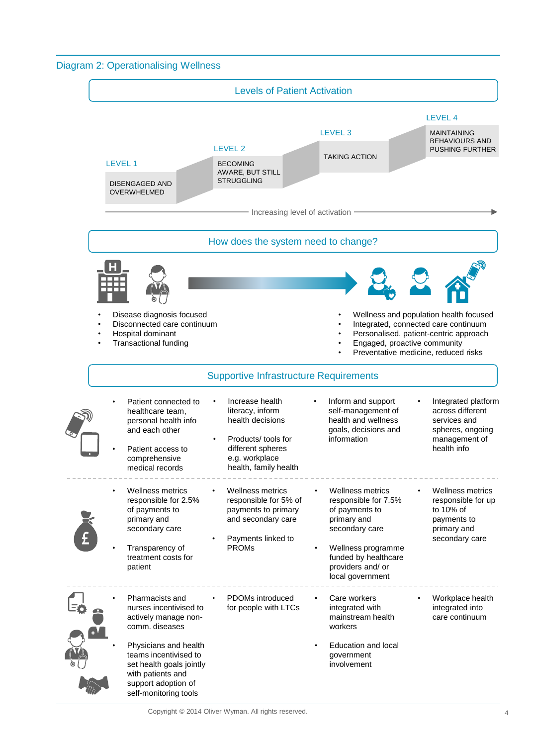

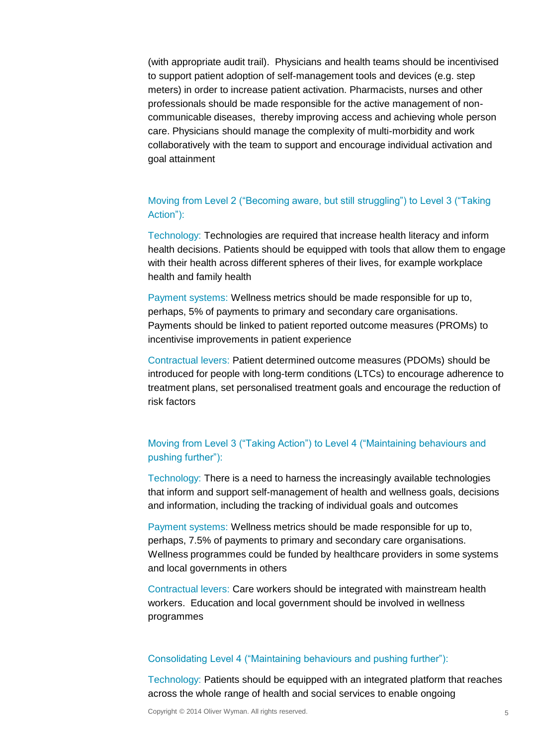(with appropriate audit trail). Physicians and health teams should be incentivised to support patient adoption of self-management tools and devices (e.g. step meters) in order to increase patient activation. Pharmacists, nurses and other professionals should be made responsible for the active management of noncommunicable diseases, thereby improving access and achieving whole person care. Physicians should manage the complexity of multi-morbidity and work collaboratively with the team to support and encourage individual activation and goal attainment

## Moving from Level 2 ("Becoming aware, but still struggling") to Level 3 ("Taking Action"):

Technology: Technologies are required that increase health literacy and inform health decisions. Patients should be equipped with tools that allow them to engage with their health across different spheres of their lives, for example workplace health and family health

Payment systems: Wellness metrics should be made responsible for up to, perhaps, 5% of payments to primary and secondary care organisations. Payments should be linked to patient reported outcome measures (PROMs) to incentivise improvements in patient experience

Contractual levers: Patient determined outcome measures (PDOMs) should be introduced for people with long-term conditions (LTCs) to encourage adherence to treatment plans, set personalised treatment goals and encourage the reduction of risk factors

## Moving from Level 3 ("Taking Action") to Level 4 ("Maintaining behaviours and pushing further"):

Technology: There is a need to harness the increasingly available technologies that inform and support self-management of health and wellness goals, decisions and information, including the tracking of individual goals and outcomes

Payment systems: Wellness metrics should be made responsible for up to, perhaps, 7.5% of payments to primary and secondary care organisations. Wellness programmes could be funded by healthcare providers in some systems and local governments in others

Contractual levers: Care workers should be integrated with mainstream health workers. Education and local government should be involved in wellness programmes

#### Consolidating Level 4 ("Maintaining behaviours and pushing further"):

Technology: Patients should be equipped with an integrated platform that reaches across the whole range of health and social services to enable ongoing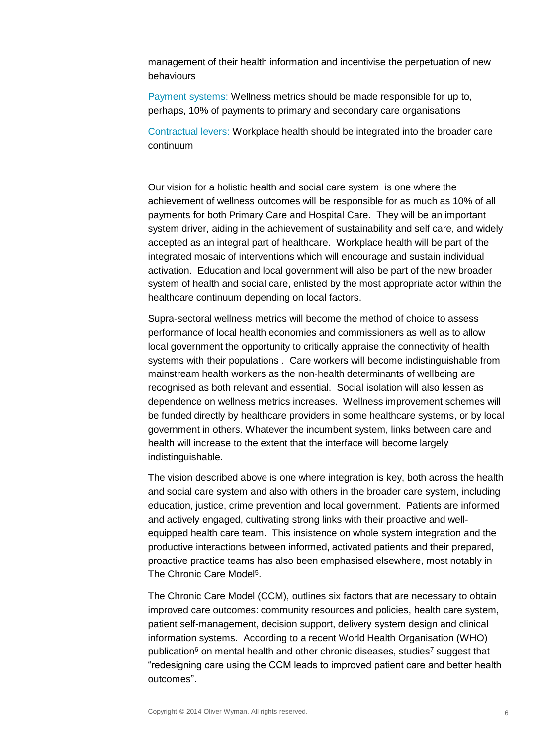management of their health information and incentivise the perpetuation of new behaviours

Payment systems: Wellness metrics should be made responsible for up to, perhaps, 10% of payments to primary and secondary care organisations

Contractual levers: Workplace health should be integrated into the broader care continuum

Our vision for a holistic health and social care system is one where the achievement of wellness outcomes will be responsible for as much as 10% of all payments for both Primary Care and Hospital Care. They will be an important system driver, aiding in the achievement of sustainability and self care, and widely accepted as an integral part of healthcare. Workplace health will be part of the integrated mosaic of interventions which will encourage and sustain individual activation. Education and local government will also be part of the new broader system of health and social care, enlisted by the most appropriate actor within the healthcare continuum depending on local factors.

Supra-sectoral wellness metrics will become the method of choice to assess performance of local health economies and commissioners as well as to allow local government the opportunity to critically appraise the connectivity of health systems with their populations . Care workers will become indistinguishable from mainstream health workers as the non-health determinants of wellbeing are recognised as both relevant and essential. Social isolation will also lessen as dependence on wellness metrics increases. Wellness improvement schemes will be funded directly by healthcare providers in some healthcare systems, or by local government in others. Whatever the incumbent system, links between care and health will increase to the extent that the interface will become largely indistinguishable.

The vision described above is one where integration is key, both across the health and social care system and also with others in the broader care system, including education, justice, crime prevention and local government. Patients are informed and actively engaged, cultivating strong links with their proactive and wellequipped health care team. This insistence on whole system integration and the productive interactions between informed, activated patients and their prepared, proactive practice teams has also been emphasised elsewhere, most notably in The Chronic Care Model<sup>5</sup>.

The Chronic Care Model (CCM), outlines six factors that are necessary to obtain improved care outcomes: community resources and policies, health care system, patient self-management, decision support, delivery system design and clinical information systems. According to a recent World Health Organisation (WHO) publication<sup>6</sup> on mental health and other chronic diseases, studies<sup>7</sup> suggest that "redesigning care using the CCM leads to improved patient care and better health outcomes".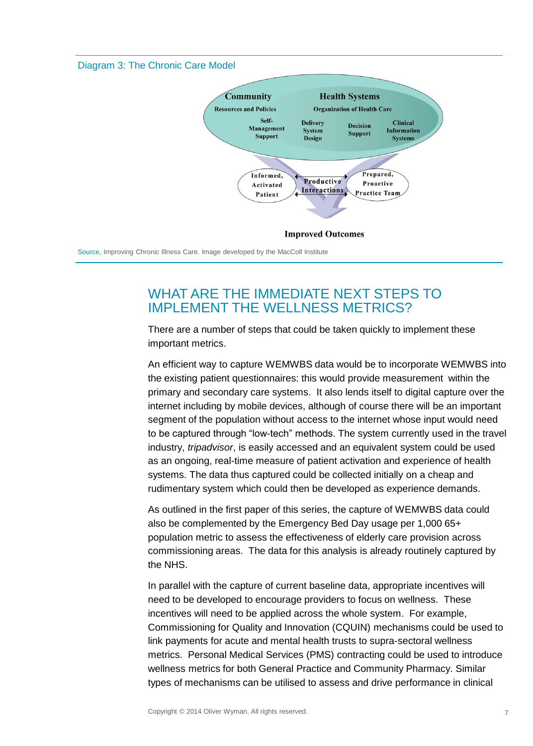

# WHAT ARE THE IMMEDIATE NEXT STEPS TO IMPLEMENT THE WELLNESS METRICS?

There are a number of steps that could be taken quickly to implement these important metrics.

An efficient way to capture WEMWBS data would be to incorporate WEMWBS into the existing patient questionnaires: this would provide measurement within the primary and secondary care systems. It also lends itself to digital capture over the internet including by mobile devices, although of course there will be an important segment of the population without access to the internet whose input would need to be captured through "low-tech" methods. The system currently used in the travel industry, *tripadvisor*, is easily accessed and an equivalent system could be used as an ongoing, real-time measure of patient activation and experience of health systems. The data thus captured could be collected initially on a cheap and rudimentary system which could then be developed as experience demands.

As outlined in the first paper of this series, the capture of WEMWBS data could also be complemented by the Emergency Bed Day usage per 1,000 65+ population metric to assess the effectiveness of elderly care provision across commissioning areas. The data for this analysis is already routinely captured by the NHS.

In parallel with the capture of current baseline data, appropriate incentives will need to be developed to encourage providers to focus on wellness. These incentives will need to be applied across the whole system. For example, Commissioning for Quality and Innovation (CQUIN) mechanisms could be used to link payments for acute and mental health trusts to supra-sectoral wellness metrics. Personal Medical Services (PMS) contracting could be used to introduce wellness metrics for both General Practice and Community Pharmacy. Similar types of mechanisms can be utilised to assess and drive performance in clinical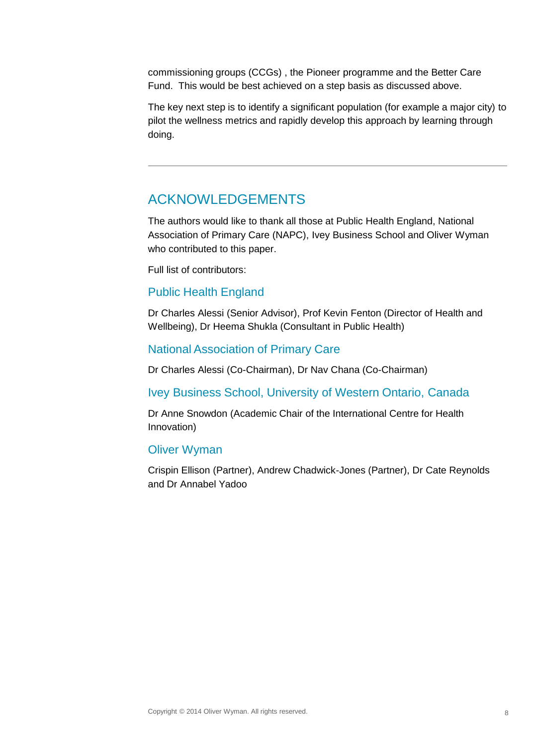commissioning groups (CCGs) , the Pioneer programme and the Better Care Fund. This would be best achieved on a step basis as discussed above.

The key next step is to identify a significant population (for example a major city) to pilot the wellness metrics and rapidly develop this approach by learning through doing.

# ACKNOWLEDGEMENTS

The authors would like to thank all those at Public Health England, National Association of Primary Care (NAPC), Ivey Business School and Oliver Wyman who contributed to this paper.

Full list of contributors:

### Public Health England

Dr Charles Alessi (Senior Advisor), Prof Kevin Fenton (Director of Health and Wellbeing), Dr Heema Shukla (Consultant in Public Health)

### National Association of Primary Care

Dr Charles Alessi (Co-Chairman), Dr Nav Chana (Co-Chairman)

#### Ivey Business School, University of Western Ontario, Canada

Dr Anne Snowdon (Academic Chair of the International Centre for Health Innovation)

### Oliver Wyman

Crispin Ellison (Partner), Andrew Chadwick-Jones (Partner), Dr Cate Reynolds and Dr Annabel Yadoo